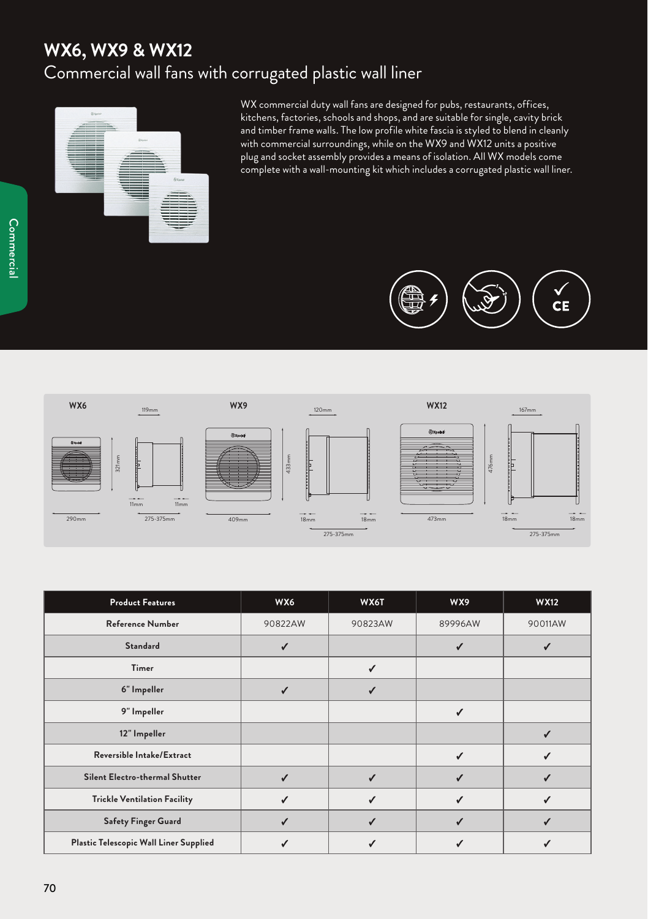## **WX6, WX9 & WX12** Commercial wall fans with corrugated plastic wall liner



WX commercial duty wall fans are designed for pubs, restaurants, offices, kitchens, factories, schools and shops, and are suitable for single, cavity brick and timber frame walls. The low profile white fascia is styled to blend in cleanly with commercial surroundings, while on the WX9 and WX12 units a positive plug and socket assembly provides a means of isolation. All WX models come complete with a wall-mounting kit which includes a corrugated plastic wall liner.





| <b>Product Features</b>                | WX6          | WX6T         | WX9     | <b>WX12</b> |
|----------------------------------------|--------------|--------------|---------|-------------|
| <b>Reference Number</b>                | 90822AW      | 90823AW      | 89996AW | 90011AW     |
| <b>Standard</b>                        | ✓            |              | ✓       | √           |
| Timer                                  |              | $\checkmark$ |         |             |
| 6" Impeller                            | $\checkmark$ | ✓            |         |             |
| 9" Impeller                            |              |              | ✓       |             |
| 12" Impeller                           |              |              |         | √           |
| <b>Reversible Intake/Extract</b>       |              |              | ✓       |             |
| Silent Electro-thermal Shutter         | ✓            | $\checkmark$ | ✓       | √           |
| <b>Trickle Ventilation Facility</b>    | ✓            | ✓            | ✓       | ✓           |
| <b>Safety Finger Guard</b>             | ✓            | ✓            | ✓       | √           |
| Plastic Telescopic Wall Liner Supplied |              |              | √       |             |